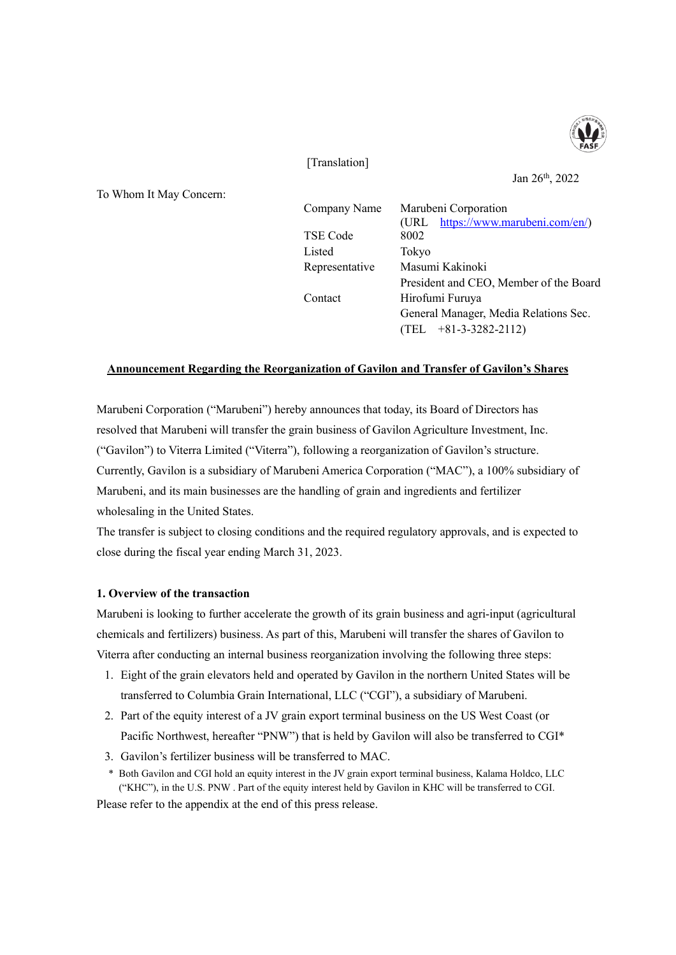

[Translation]

To Whom It May Concern:

Jan 26th, 2022

| Company Name   | Marubeni Corporation                   |  |
|----------------|----------------------------------------|--|
|                | (URL https://www.marubeni.com/en/)     |  |
| TSE Code       | 8002                                   |  |
| Listed         | Tokyo                                  |  |
| Representative | Masumi Kakinoki                        |  |
|                | President and CEO, Member of the Board |  |
| Contact        | Hirofumi Furuya                        |  |
|                | General Manager, Media Relations Sec.  |  |
|                | $(TEL + 81-3-3282-2112)$               |  |

### **Announcement Regarding the Reorganization of Gavilon and Transfer of Gavilon's Shares**

Marubeni Corporation ("Marubeni") hereby announces that today, its Board of Directors has resolved that Marubeni will transfer the grain business of Gavilon Agriculture Investment, Inc. ("Gavilon") to Viterra Limited ("Viterra"), following a reorganization of Gavilon's structure. Currently, Gavilon is a subsidiary of Marubeni America Corporation ("MAC"), a 100% subsidiary of Marubeni, and its main businesses are the handling of grain and ingredients and fertilizer wholesaling in the United States.

The transfer is subject to closing conditions and the required regulatory approvals, and is expected to close during the fiscal year ending March 31, 2023.

### **1. Overview of the transaction**

Marubeni is looking to further accelerate the growth of its grain business and agri-input (agricultural chemicals and fertilizers) business. As part of this, Marubeni will transfer the shares of Gavilon to Viterra after conducting an internal business reorganization involving the following three steps:

- 1. Eight of the grain elevators held and operated by Gavilon in the northern United States will be transferred to Columbia Grain International, LLC ("CGI"), a subsidiary of Marubeni.
- 2. Part of the equity interest of a JV grain export terminal business on the US West Coast (or Pacific Northwest, hereafter "PNW") that is held by Gavilon will also be transferred to CGI\*
- 3. Gavilon's fertilizer business will be transferred to MAC.
- \* Both Gavilon and CGI hold an equity interest in the JV grain export terminal business, Kalama Holdco, LLC ("KHC"), in the U.S. PNW . Part of the equity interest held by Gavilon in KHC will be transferred to CGI.

Please refer to the appendix at the end of this press release.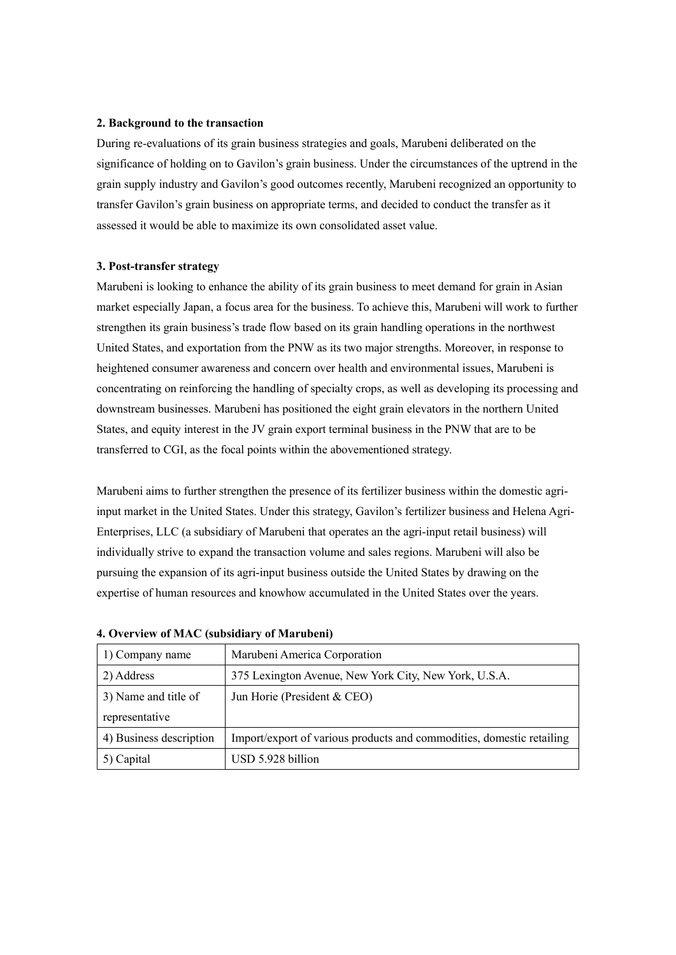#### **2. Background to the transaction**

During re-evaluations of its grain business strategies and goals, Marubeni deliberated on the significance of holding on to Gavilon's grain business. Under the circumstances of the uptrend in the grain supply industry and Gavilon's good outcomes recently, Marubeni recognized an opportunity to transfer Gavilon's grain business on appropriate terms, and decided to conduct the transfer as it assessed it would be able to maximize its own consolidated asset value.

### **3. Post-transfer strategy**

Marubeni is looking to enhance the ability of its grain business to meet demand for grain in Asian market especially Japan, a focus area for the business. To achieve this, Marubeni will work to further strengthen its grain business's trade flow based on its grain handling operations in the northwest United States, and exportation from the PNW as its two major strengths. Moreover, in response to heightened consumer awareness and concern over health and environmental issues, Marubeni is concentrating on reinforcing the handling of specialty crops, as well as developing its processing and downstream businesses. Marubeni has positioned the eight grain elevators in the northern United States, and equity interest in the JV grain export terminal business in the PNW that are to be transferred to CGI, as the focal points within the abovementioned strategy.

Marubeni aims to further strengthen the presence of its fertilizer business within the domestic agriinput market in the United States. Under this strategy, Gavilon's fertilizer business and Helena Agri-Enterprises, LLC (a subsidiary of Marubeni that operates an the agri-input retail business) will individually strive to expand the transaction volume and sales regions. Marubeni will also be pursuing the expansion of its agri-input business outside the United States by drawing on the expertise of human resources and knowhow accumulated in the United States over the years.

| 1) Company name         | Marubeni America Corporation                                          |
|-------------------------|-----------------------------------------------------------------------|
| 2) Address              | 375 Lexington Avenue, New York City, New York, U.S.A.                 |
| 3) Name and title of    | Jun Horie (President & CEO)                                           |
| representative          |                                                                       |
| 4) Business description | Import/export of various products and commodities, domestic retailing |
| 5) Capital              | USD 5.928 billion                                                     |

### **4. Overview of MAC (subsidiary of Marubeni)**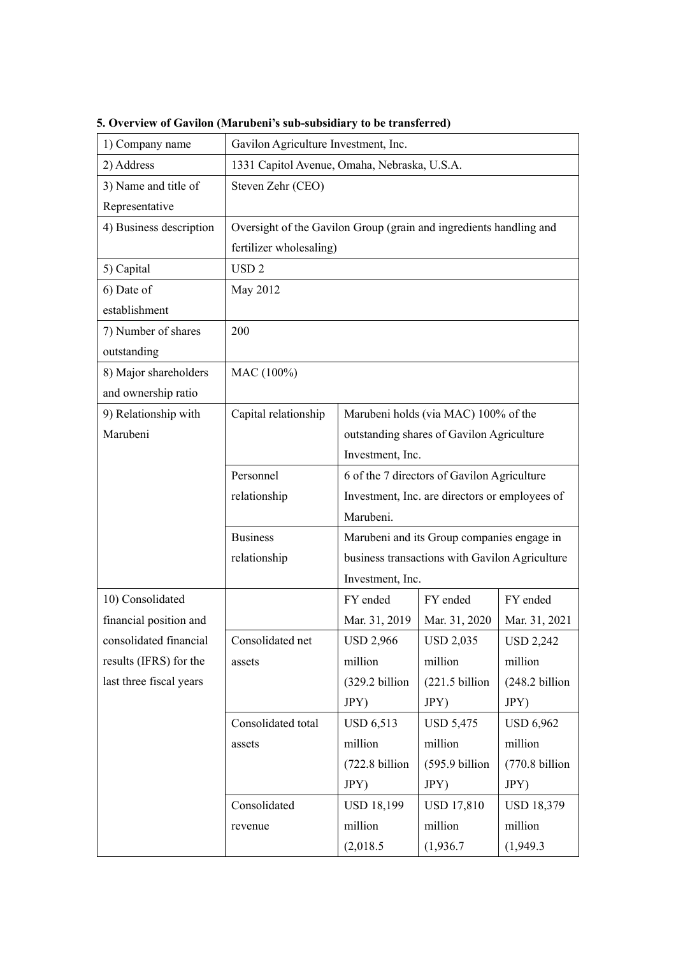| 1) Company name         | Gavilon Agriculture Investment, Inc.                               |                                           |                                                |                   |
|-------------------------|--------------------------------------------------------------------|-------------------------------------------|------------------------------------------------|-------------------|
| 2) Address              | 1331 Capitol Avenue, Omaha, Nebraska, U.S.A.                       |                                           |                                                |                   |
| 3) Name and title of    | Steven Zehr (CEO)                                                  |                                           |                                                |                   |
| Representative          |                                                                    |                                           |                                                |                   |
| 4) Business description | Oversight of the Gavilon Group (grain and ingredients handling and |                                           |                                                |                   |
|                         | fertilizer wholesaling)                                            |                                           |                                                |                   |
| 5) Capital              | USD <sub>2</sub>                                                   |                                           |                                                |                   |
| 6) Date of              | May 2012                                                           |                                           |                                                |                   |
| establishment           |                                                                    |                                           |                                                |                   |
| 7) Number of shares     | 200                                                                |                                           |                                                |                   |
| outstanding             |                                                                    |                                           |                                                |                   |
| 8) Major shareholders   | MAC (100%)                                                         |                                           |                                                |                   |
| and ownership ratio     |                                                                    |                                           |                                                |                   |
| 9) Relationship with    | Capital relationship                                               | Marubeni holds (via MAC) 100% of the      |                                                |                   |
| Marubeni                |                                                                    | outstanding shares of Gavilon Agriculture |                                                |                   |
|                         |                                                                    | Investment, Inc.                          |                                                |                   |
|                         | Personnel                                                          |                                           | 6 of the 7 directors of Gavilon Agriculture    |                   |
|                         | relationship                                                       |                                           | Investment, Inc. are directors or employees of |                   |
|                         |                                                                    | Marubeni.                                 |                                                |                   |
|                         | <b>Business</b>                                                    |                                           | Marubeni and its Group companies engage in     |                   |
|                         | relationship                                                       |                                           | business transactions with Gavilon Agriculture |                   |
|                         |                                                                    | Investment, Inc.                          |                                                |                   |
| 10) Consolidated        |                                                                    | FY ended                                  | FY ended                                       | FY ended          |
| financial position and  |                                                                    | Mar. 31, 2019                             | Mar. 31, 2020                                  | Mar. 31, 2021     |
| consolidated financial  | Consolidated net                                                   | <b>USD 2,966</b>                          | <b>USD 2,035</b>                               | <b>USD 2,242</b>  |
| results (IFRS) for the  | assets                                                             | million                                   | million                                        | million           |
| last three fiscal years |                                                                    | (329.2 billion                            | $(221.5 \text{ billion})$                      | (248.2 billion    |
|                         |                                                                    | JPY)                                      | JPY)                                           | JPY)              |
|                         | Consolidated total                                                 | <b>USD 6,513</b>                          | <b>USD 5,475</b>                               | <b>USD 6,962</b>  |
|                         | assets                                                             | million                                   | million                                        | million           |
|                         |                                                                    | (722.8 billion                            | $(595.9 \text{ billion})$                      | (770.8 billion    |
|                         |                                                                    | JPY)                                      | JPY)                                           | JPY)              |
|                         | Consolidated                                                       | <b>USD 18,199</b>                         | <b>USD 17,810</b>                              | <b>USD 18,379</b> |
|                         | revenue                                                            | million                                   | million                                        | million           |
|                         |                                                                    | (2,018.5)                                 | (1,936.7)                                      | (1,949.3)         |

**5. Overview of Gavilon (Marubeni's sub-subsidiary to be transferred)**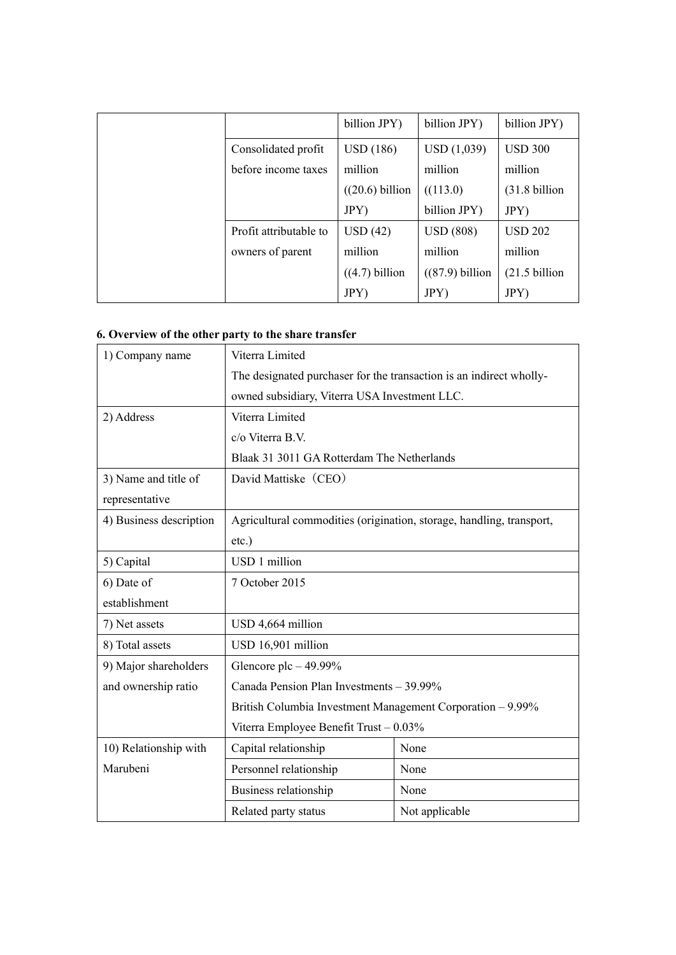|                        | billion JPY)      | billion JPY)      | billion JPY)             |
|------------------------|-------------------|-------------------|--------------------------|
| Consolidated profit    | USD(186)          | USD(1,039)        | <b>USD 300</b>           |
| before income taxes    | million           | million           | million                  |
|                        | $((20.6)$ billion | ((113.0)          | $(31.8 \text{ billion})$ |
|                        | JPY)              | billion JPY)      | JPY)                     |
| Profit attributable to | USD(42)           | <b>USD</b> (808)  | <b>USD 202</b>           |
| owners of parent       | million           | million           | million                  |
|                        | $((4.7)$ billion  | $((87.9)$ billion | $(21.5 \text{ billion})$ |
|                        | JPY)              | JPY)              | JPY)                     |

# **6. Overview of the other party to the share transfer**

| 1) Company name         | Viterra Limited                                                      |                |  |
|-------------------------|----------------------------------------------------------------------|----------------|--|
|                         | The designated purchaser for the transaction is an indirect wholly-  |                |  |
|                         | owned subsidiary, Viterra USA Investment LLC.                        |                |  |
| 2) Address              | Viterra Limited                                                      |                |  |
|                         | c/o Viterra B.V.                                                     |                |  |
|                         | Blaak 31 3011 GA Rotterdam The Netherlands                           |                |  |
| 3) Name and title of    | David Mattiske (CEO)                                                 |                |  |
| representative          |                                                                      |                |  |
| 4) Business description | Agricultural commodities (origination, storage, handling, transport, |                |  |
|                         | $etc.$ )                                                             |                |  |
| 5) Capital              | USD 1 million                                                        |                |  |
| 6) Date of              | 7 October 2015                                                       |                |  |
| establishment           |                                                                      |                |  |
| 7) Net assets           | USD 4,664 million                                                    |                |  |
| 8) Total assets         | USD 16,901 million                                                   |                |  |
| 9) Major shareholders   | Glencore plc $-49.99\%$                                              |                |  |
| and ownership ratio     | Canada Pension Plan Investments - 39.99%                             |                |  |
|                         | British Columbia Investment Management Corporation - 9.99%           |                |  |
|                         | Viterra Employee Benefit Trust - 0.03%                               |                |  |
| 10) Relationship with   | Capital relationship                                                 | None           |  |
| Marubeni                | Personnel relationship                                               | None           |  |
|                         | Business relationship                                                | None           |  |
|                         | Related party status                                                 | Not applicable |  |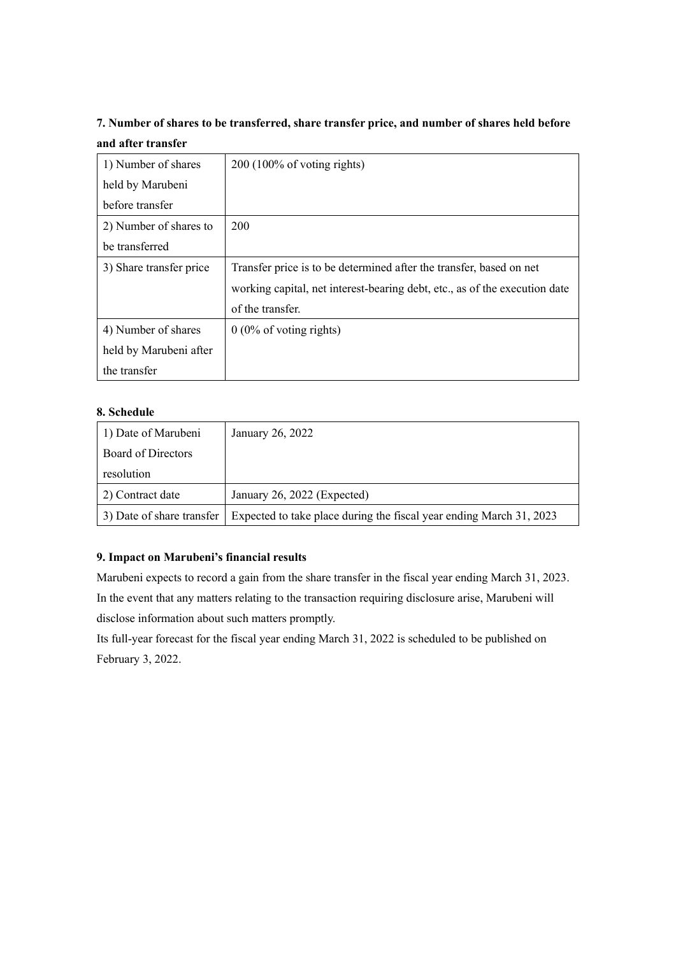# **7. Number of shares to be transferred, share transfer price, and number of shares held before and after transfer**

| 1) Number of shares     | $200(100\% \text{ of voting rights})$                                      |
|-------------------------|----------------------------------------------------------------------------|
| held by Marubeni        |                                                                            |
| before transfer         |                                                                            |
| 2) Number of shares to  | 200                                                                        |
| be transferred          |                                                                            |
| 3) Share transfer price | Transfer price is to be determined after the transfer, based on net        |
|                         | working capital, net interest-bearing debt, etc., as of the execution date |
|                         | of the transfer.                                                           |
| 4) Number of shares     | $0(0\% \text{ of voting rights})$                                          |
| held by Marubeni after  |                                                                            |
| the transfer            |                                                                            |

## **8. Schedule**

| 1) Date of Marubeni       | January 26, 2022                                                    |
|---------------------------|---------------------------------------------------------------------|
| Board of Directors        |                                                                     |
| resolution                |                                                                     |
| 2) Contract date          | January 26, 2022 (Expected)                                         |
| 3) Date of share transfer | Expected to take place during the fiscal year ending March 31, 2023 |

## **9. Impact on Marubeni's financial results**

Marubeni expects to record a gain from the share transfer in the fiscal year ending March 31, 2023. In the event that any matters relating to the transaction requiring disclosure arise, Marubeni will disclose information about such matters promptly.

Its full-year forecast for the fiscal year ending March 31, 2022 is scheduled to be published on February 3, 2022.